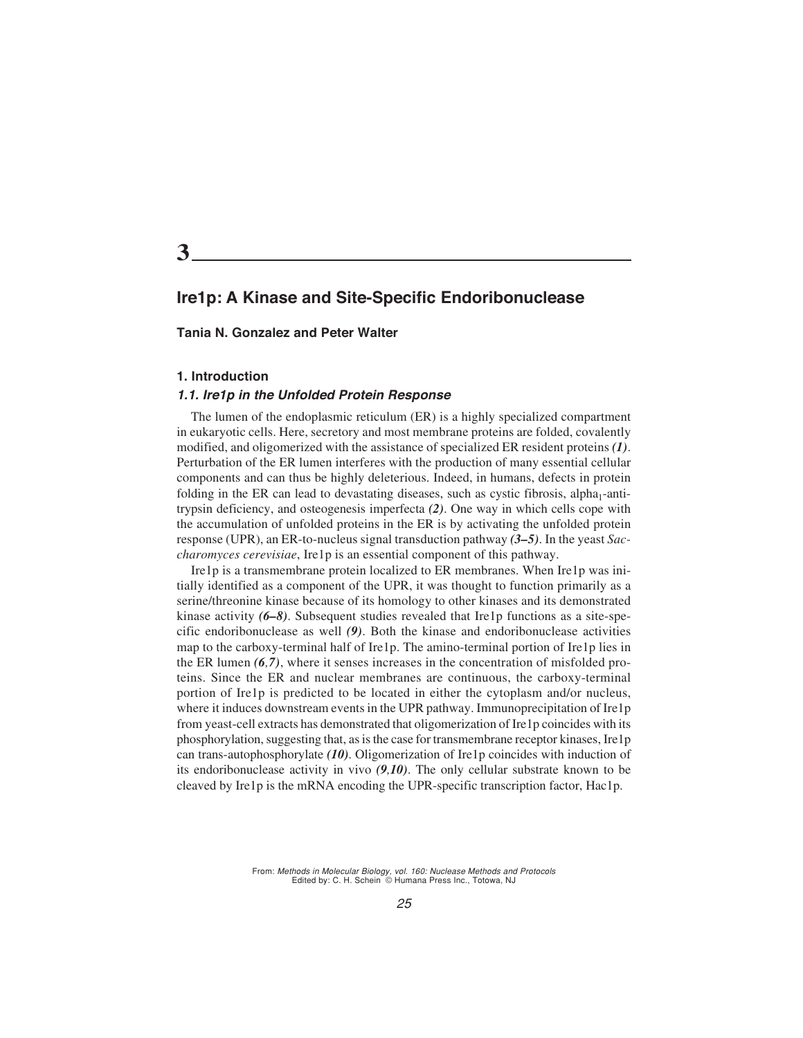**3**

# **Ire1p: A Kinase and Site-Specific Endoribonuclease**

#### **Tania N. Gonzalez and Peter Walter**

#### **1. Introduction**

#### **1.1. Ire1p in the Unfolded Protein Response**

The lumen of the endoplasmic reticulum (ER) is a highly specialized compartment in eukaryotic cells. Here, secretory and most membrane proteins are folded, covalently modified, and oligomerized with the assistance of specialized ER resident proteins *(1)*. Perturbation of the ER lumen interferes with the production of many essential cellular components and can thus be highly deleterious. Indeed, in humans, defects in protein folding in the ER can lead to devastating diseases, such as cystic fibrosis, alpha<sub>1</sub>-antitrypsin deficiency, and osteogenesis imperfecta *(2)*. One way in which cells cope with the accumulation of unfolded proteins in the ER is by activating the unfolded protein response (UPR), an ER-to-nucleus signal transduction pathway *(3–5)*. In the yeast *Saccharomyces cerevisiae*, Ire1p is an essential component of this pathway.

Ire1p is a transmembrane protein localized to ER membranes. When Ire1p was initially identified as a component of the UPR, it was thought to function primarily as a serine/threonine kinase because of its homology to other kinases and its demonstrated kinase activity *(6–8)*. Subsequent studies revealed that Ire1p functions as a site-specific endoribonuclease as well *(9)*. Both the kinase and endoribonuclease activities map to the carboxy-terminal half of Ire1p. The amino-terminal portion of Ire1p lies in the ER lumen *(6,7)*, where it senses increases in the concentration of misfolded proteins. Since the ER and nuclear membranes are continuous, the carboxy-terminal portion of Ire1p is predicted to be located in either the cytoplasm and/or nucleus, where it induces downstream events in the UPR pathway. Immunoprecipitation of Ire1p from yeast-cell extracts has demonstrated that oligomerization of Ire1p coincides with its phosphorylation, suggesting that, as is the case for transmembrane receptor kinases, Ire1p can trans-autophosphorylate *(10)*. Oligomerization of Ire1p coincides with induction of its endoribonuclease activity in vivo *(9,10)*. The only cellular substrate known to be cleaved by Ire1p is the mRNA encoding the UPR-specific transcription factor, Hac1p.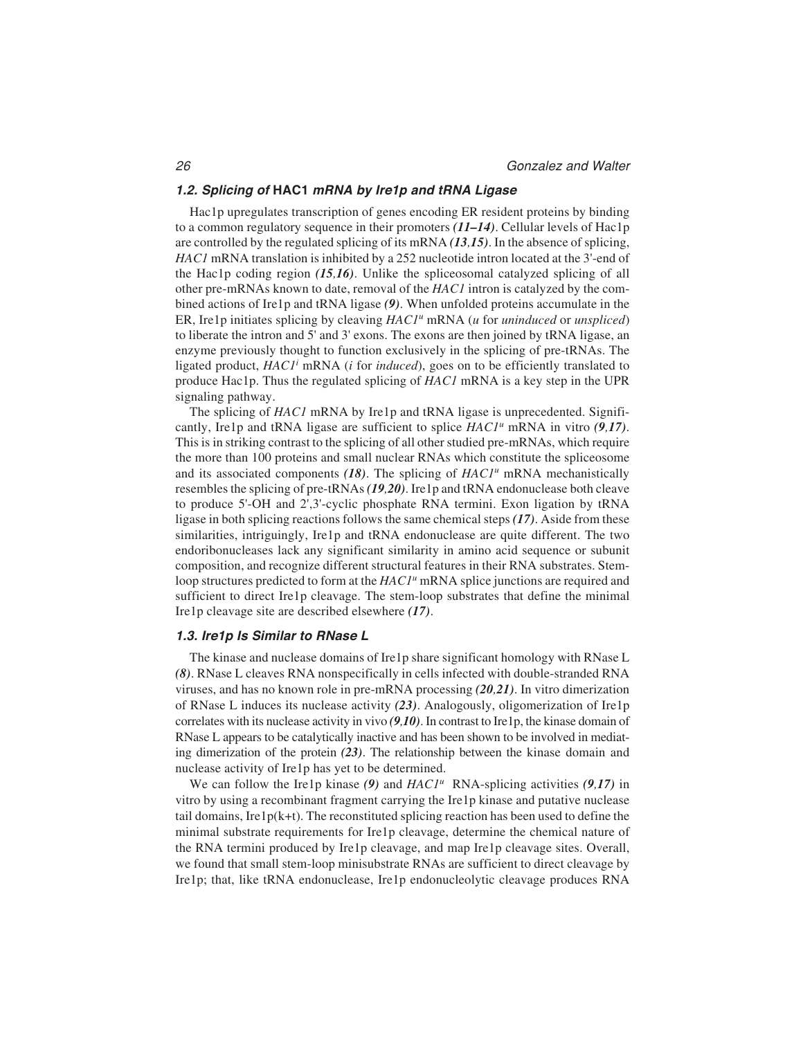#### **1.2. Splicing of HAC1 mRNA by Ire1p and tRNA Ligase**

Hac1p upregulates transcription of genes encoding ER resident proteins by binding to a common regulatory sequence in their promoters *(11–14)*. Cellular levels of Hac1p are controlled by the regulated splicing of its mRNA *(13,15)*. In the absence of splicing, *HAC1* mRNA translation is inhibited by a 252 nucleotide intron located at the 3'-end of the Hac1p coding region *(15,16)*. Unlike the spliceosomal catalyzed splicing of all other pre-mRNAs known to date, removal of the *HAC1* intron is catalyzed by the combined actions of Ire1p and tRNA ligase *(9)*. When unfolded proteins accumulate in the ER, Ire1p initiates splicing by cleaving *HAC1u* mRNA (*u* for *uninduced* or *unspliced*) to liberate the intron and 5' and 3' exons. The exons are then joined by tRNA ligase, an enzyme previously thought to function exclusively in the splicing of pre-tRNAs. The ligated product, *HAC1i* mRNA (*i* for *induced*), goes on to be efficiently translated to produce Hac1p. Thus the regulated splicing of *HAC1* mRNA is a key step in the UPR signaling pathway.

The splicing of *HAC1* mRNA by Ire1p and tRNA ligase is unprecedented. Significantly, Ire1p and tRNA ligase are sufficient to splice *HAC1u* mRNA in vitro *(9,17)*. This is in striking contrast to the splicing of all other studied pre-mRNAs, which require the more than 100 proteins and small nuclear RNAs which constitute the spliceosome and its associated components (18). The splicing of *HAC1<sup>u</sup>* mRNA mechanistically resembles the splicing of pre-tRNAs *(19,20)*. Ire1p and tRNA endonuclease both cleave to produce 5'-OH and 2',3'-cyclic phosphate RNA termini. Exon ligation by tRNA ligase in both splicing reactions follows the same chemical steps *(17)*. Aside from these similarities, intriguingly, Ire1p and tRNA endonuclease are quite different. The two endoribonucleases lack any significant similarity in amino acid sequence or subunit composition, and recognize different structural features in their RNA substrates. Stemloop structures predicted to form at the *HAC1<sup>u</sup>* mRNA splice junctions are required and sufficient to direct Ire1p cleavage. The stem-loop substrates that define the minimal Ire1p cleavage site are described elsewhere *(17)*.

#### **1.3. Ire1p Is Similar to RNase L**

The kinase and nuclease domains of Ire1p share significant homology with RNase L *(8)*. RNase L cleaves RNA nonspecifically in cells infected with double-stranded RNA viruses, and has no known role in pre-mRNA processing *(20,21)*. In vitro dimerization of RNase L induces its nuclease activity *(23)*. Analogously, oligomerization of Ire1p correlates with its nuclease activity in vivo *(9,10)*. In contrast to Ire1p, the kinase domain of RNase L appears to be catalytically inactive and has been shown to be involved in mediating dimerization of the protein *(23)*. The relationship between the kinase domain and nuclease activity of Ire1p has yet to be determined.

We can follow the Ire1p kinase *(9)* and *HAC1<sup>u</sup>* RNA-splicing activities *(9,17)* in vitro by using a recombinant fragment carrying the Ire1p kinase and putative nuclease tail domains, Ire1 $p(k+1)$ . The reconstituted splicing reaction has been used to define the minimal substrate requirements for Ire1p cleavage, determine the chemical nature of the RNA termini produced by Ire1p cleavage, and map Ire1p cleavage sites. Overall, we found that small stem-loop minisubstrate RNAs are sufficient to direct cleavage by Ire1p; that, like tRNA endonuclease, Ire1p endonucleolytic cleavage produces RNA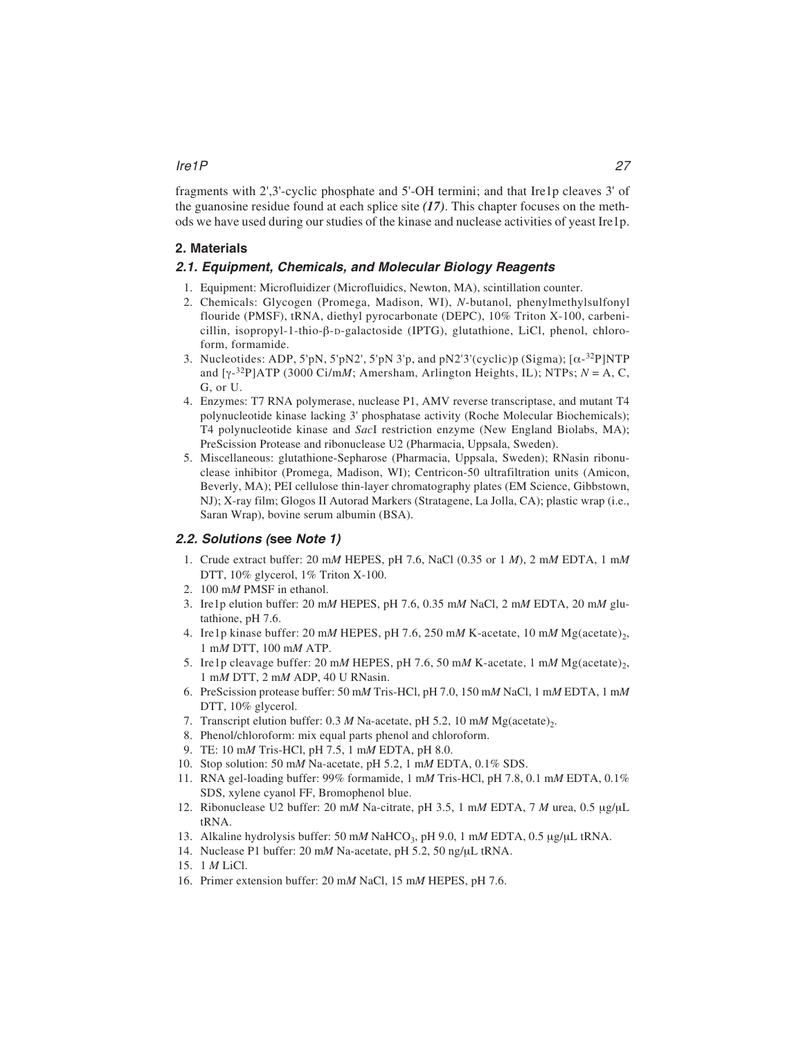## Ire1P 27

fragments with 2',3'-cyclic phosphate and 5'-OH termini; and that Ire1p cleaves 3' of the guanosine residue found at each splice site *(17)*. This chapter focuses on the methods we have used during our studies of the kinase and nuclease activities of yeast Ire1p.

# **2. Materials**

## **2.1. Equipment, Chemicals, and Molecular Biology Reagents**

- 1. Equipment: Microfluidizer (Microfluidics, Newton, MA), scintillation counter.
- 2. Chemicals: Glycogen (Promega, Madison, WI), *N*-butanol, phenylmethylsulfonyl flouride (PMSF), tRNA, diethyl pyrocarbonate (DEPC), 10% Triton X-100, carbenicillin, isopropyl-1-thio- $\beta$ -D-galactoside (IPTG), glutathione, LiCl, phenol, chloroform, formamide.
- 3. Nucleotides: ADP, 5'pN, 5'pN2', 5'pN 3'p, and pN2'3'(cyclic)p (Sigma);  $[\alpha^{-32}P]NTP$ and  $[\gamma^{-32}P]ATP$  (3000 Ci/m*M*; Amersham, Arlington Heights, IL); NTPs;  $N = A$ , C, G, or U.
- 4. Enzymes: T7 RNA polymerase, nuclease P1, AMV reverse transcriptase, and mutant T4 polynucleotide kinase lacking 3' phosphatase activity (Roche Molecular Biochemicals); T4 polynucleotide kinase and *Sac*I restriction enzyme (New England Biolabs, MA); PreScission Protease and ribonuclease U2 (Pharmacia, Uppsala, Sweden).
- 5. Miscellaneous: glutathione-Sepharose (Pharmacia, Uppsala, Sweden); RNasin ribonuclease inhibitor (Promega, Madison, WI); Centricon-50 ultrafiltration units (Amicon, Beverly, MA); PEI cellulose thin-layer chromatography plates (EM Science, Gibbstown, NJ); X-ray film; Glogos II Autorad Markers (Stratagene, La Jolla, CA); plastic wrap (i.e., Saran Wrap), bovine serum albumin (BSA).

# **2.2. Solutions (see Note 1)**

- 1. Crude extract buffer: 20 m*M* HEPES, pH 7.6, NaCl (0.35 or 1 *M*), 2 m*M* EDTA, 1 m*M* DTT, 10% glycerol, 1% Triton X-100.
- 2. 100 m*M* PMSF in ethanol.
- 3. Ire1p elution buffer: 20 m*M* HEPES, pH 7.6, 0.35 m*M* NaCl, 2 m*M* EDTA, 20 m*M* glutathione, pH 7.6.
- 4. Ire1p kinase buffer: 20 mM HEPES, pH 7.6, 250 mM K-acetate, 10 mM Mg(acetate)<sub>2</sub>, 1 m*M* DTT, 100 m*M* ATP.
- 5. Ire1p cleavage buffer: 20 mM HEPES, pH 7.6, 50 mM K-acetate, 1 mM Mg(acetate)<sub>2</sub>, 1 m*M* DTT, 2 m*M* ADP, 40 U RNasin.
- 6. PreScission protease buffer: 50 m*M* Tris-HCl, pH 7.0, 150 m*M* NaCl, 1 m*M* EDTA, 1 m*M* DTT, 10% glycerol.
- 7. Transcript elution buffer:  $0.3 M$  Na-acetate, pH 5.2, 10 m*M* Mg(acetate)<sub>2</sub>.
- 8. Phenol/chloroform: mix equal parts phenol and chloroform.
- 9. TE: 10 m*M* Tris-HCl, pH 7.5, 1 m*M* EDTA, pH 8.0.
- 10. Stop solution: 50 m*M* Na-acetate, pH 5.2, 1 m*M* EDTA, 0.1% SDS.
- 11. RNA gel-loading buffer: 99% formamide, 1 m*M* Tris-HCl, pH 7.8, 0.1 m*M* EDTA, 0.1% SDS, xylene cyanol FF, Bromophenol blue.
- 12. Ribonuclease U2 buffer: 20 m*M* Na-citrate, pH 3.5, 1 m*M* EDTA, 7 *M* urea, 0.5 μg/μL tRNA.
- 13. Alkaline hydrolysis buffer: 50 m*M* NaHCO3, pH 9.0, 1 m*M* EDTA, 0.5 μg/μL tRNA.
- 14. Nuclease P1 buffer: 20 m*M* Na-acetate, pH 5.2, 50 ng/μL tRNA.
- 15. 1 *M* LiCl.
- 16. Primer extension buffer: 20 m*M* NaCl, 15 m*M* HEPES, pH 7.6.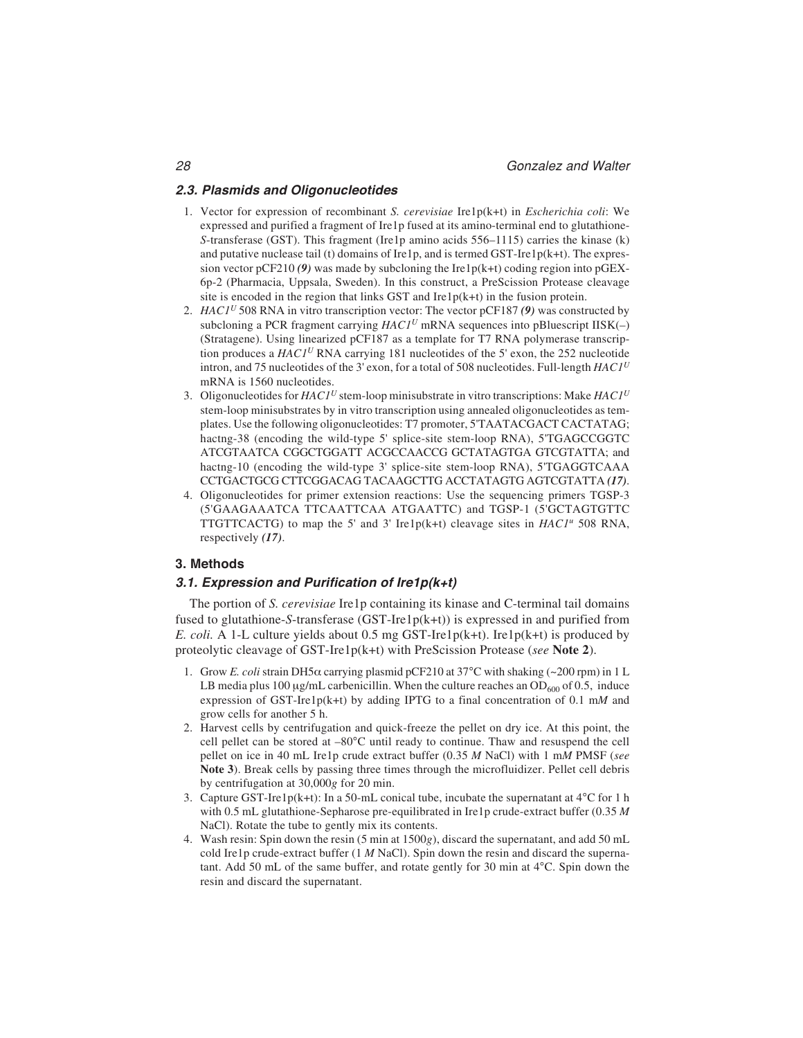## **2.3. Plasmids and Oligonucleotides**

- 1. Vector for expression of recombinant *S. cerevisiae* Ire1p(k+t) in *Escherichia coli*: We expressed and purified a fragment of Ire1p fused at its amino-terminal end to glutathione-*S*-transferase (GST). This fragment (Ire1p amino acids 556–1115) carries the kinase (k) and putative nuclease tail (t) domains of Ire1p, and is termed GST-Ire1p( $k+t$ ). The expression vector  $pCF210(9)$  was made by subcloning the Ire1 $p(k+t)$  coding region into  $pGEX$ -6p-2 (Pharmacia, Uppsala, Sweden). In this construct, a PreScission Protease cleavage site is encoded in the region that links GST and  $Irelp(k+t)$  in the fusion protein.
- 2. *HAC1<sup>U</sup>* 508 RNA in vitro transcription vector: The vector pCF187 *(9)* was constructed by subcloning a PCR fragment carrying  $HACI<sup>U</sup>$  mRNA sequences into pBluescript IISK(-) (Stratagene). Using linearized pCF187 as a template for T7 RNA polymerase transcription produces a *HAC1U* RNA carrying 181 nucleotides of the 5' exon, the 252 nucleotide intron, and 75 nucleotides of the 3' exon, for a total of 508 nucleotides. Full-length *HAC1<sup>U</sup>* mRNA is 1560 nucleotides.
- 3. Oligonucleotides for *HAC1<sup>U</sup>* stem-loop minisubstrate in vitro transcriptions: Make *HAC1<sup>U</sup>* stem-loop minisubstrates by in vitro transcription using annealed oligonucleotides as templates. Use the following oligonucleotides: T7 promoter, 5'TAATACGACT CACTATAG; hactng-38 (encoding the wild-type 5' splice-site stem-loop RNA), 5'TGAGCCGGTC ATCGTAATCA CGGCTGGATT ACGCCAACCG GCTATAGTGA GTCGTATTA; and hactng-10 (encoding the wild-type 3' splice-site stem-loop RNA), 5'TGAGGTCAAA CCTGACTGCG CTTCGGACAG TACAAGCTTG ACCTATAGTG AGTCGTATTA *(17)*.
- 4. Oligonucleotides for primer extension reactions: Use the sequencing primers TGSP-3 (5'GAAGAAATCA TTCAATTCAA ATGAATTC) and TGSP-1 (5'GCTAGTGTTC TTGTTCACTG) to map the 5' and 3' Ire1p(k+t) cleavage sites in  $HACI^{\mu}$  508 RNA, respectively *(17)*.

## **3. Methods**

## **3.1. Expression and Purification of Ire1p(k+t)**

The portion of *S. cerevisiae* Ire1p containing its kinase and C-terminal tail domains fused to glutathione-*S*-transferase (GST-Ire1p(k+t)) is expressed in and purified from *E. coli.* A 1-L culture yields about 0.5 mg GST-Ire1p(k+t). Ire1p(k+t) is produced by proteolytic cleavage of GST-Ire1p(k+t) with PreScission Protease (*see* **Note 2**).

- 1. Grow *E. coli* strain DH5 $\alpha$  carrying plasmid pCF210 at 37°C with shaking (~200 rpm) in 1 L LB media plus 100  $\mu$ g/mL carbenicillin. When the culture reaches an OD<sub>600</sub> of 0.5, induce expression of GST-Ire1p(k+t) by adding IPTG to a final concentration of 0.1 m*M* and grow cells for another 5 h.
- 2. Harvest cells by centrifugation and quick-freeze the pellet on dry ice. At this point, the cell pellet can be stored at –80°C until ready to continue. Thaw and resuspend the cell pellet on ice in 40 mL Ire1p crude extract buffer (0.35 *M* NaCl) with 1 m*M* PMSF (*see* **Note 3**). Break cells by passing three times through the microfluidizer. Pellet cell debris by centrifugation at 30,000*g* for 20 min.
- 3. Capture GST-Ire1p(k+t): In a 50-mL conical tube, incubate the supernatant at  $4^{\circ}$ C for 1 h with 0.5 mL glutathione-Sepharose pre-equilibrated in Ire1p crude-extract buffer (0.35 *M* NaCl). Rotate the tube to gently mix its contents.
- 4. Wash resin: Spin down the resin (5 min at 1500*g*), discard the supernatant, and add 50 mL cold Ire1p crude-extract buffer (1 *M* NaCl). Spin down the resin and discard the supernatant. Add 50 mL of the same buffer, and rotate gently for 30 min at 4°C. Spin down the resin and discard the supernatant.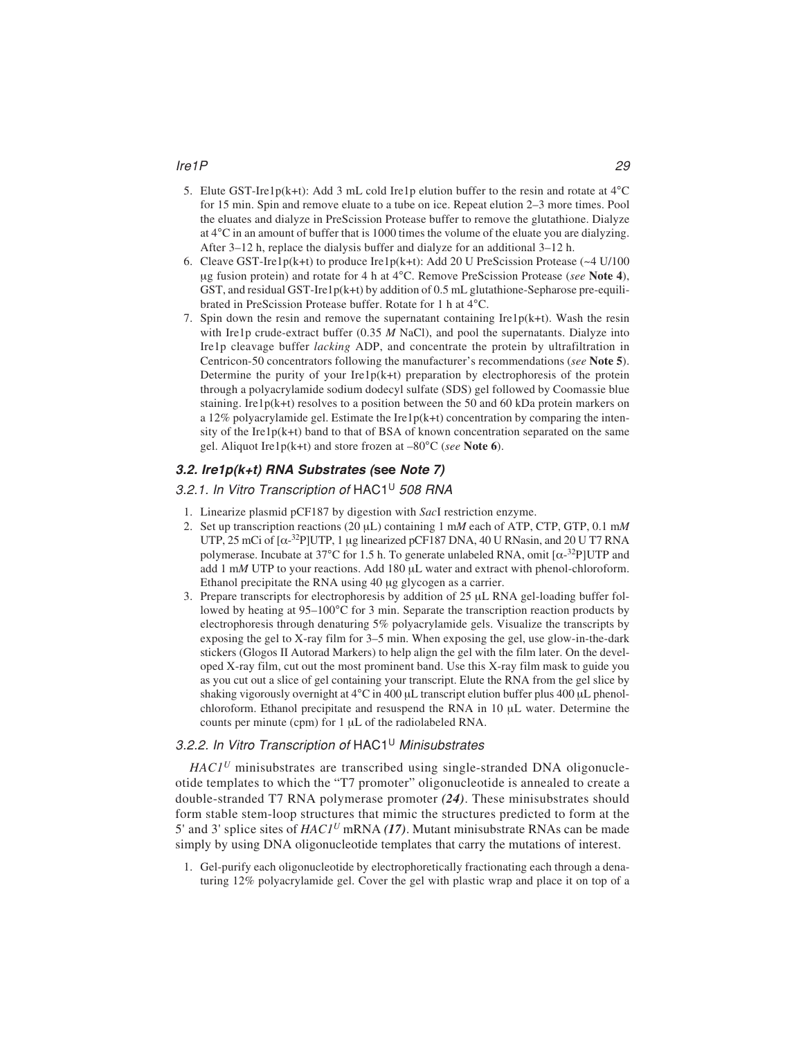#### Ire1P 29

- 5. Elute GST-Ire1p(k+t): Add 3 mL cold Ire1p elution buffer to the resin and rotate at 4°C for 15 min. Spin and remove eluate to a tube on ice. Repeat elution 2–3 more times. Pool the eluates and dialyze in PreScission Protease buffer to remove the glutathione. Dialyze at 4°C in an amount of buffer that is 1000 times the volume of the eluate you are dialyzing. After 3–12 h, replace the dialysis buffer and dialyze for an additional 3–12 h.
- 6. Cleave GST-Ire1p(k+t) to produce Ire1p(k+t): Add 20 U PreScission Protease ( $\sim$ 4 U/100 μg fusion protein) and rotate for 4 h at 4°C. Remove PreScission Protease (*see* **Note 4**), GST, and residual GST-Ire1p(k+t) by addition of  $0.5$  mL glutathione-Sepharose pre-equilibrated in PreScission Protease buffer. Rotate for 1 h at 4°C.
- 7. Spin down the resin and remove the supernatant containing  $Irelp(k+t)$ . Wash the resin with Ire1p crude-extract buffer (0.35 *M* NaCl), and pool the supernatants. Dialyze into Ire1p cleavage buffer *lacking* ADP, and concentrate the protein by ultrafiltration in Centricon-50 concentrators following the manufacturer's recommendations (*see* **Note 5**). Determine the purity of your  $Ire1p(k+t)$  preparation by electrophoresis of the protein through a polyacrylamide sodium dodecyl sulfate (SDS) gel followed by Coomassie blue staining. Ire1p( $k+t$ ) resolves to a position between the 50 and 60 kDa protein markers on a 12% polyacrylamide gel. Estimate the Ire1p(k+t) concentration by comparing the intensity of the Ire1 $p(k+t)$  band to that of BSA of known concentration separated on the same gel. Aliquot Ire1p(k+t) and store frozen at –80°C (*see* **Note 6**).

## **3.2. Ire1p(k+t) RNA Substrates (see Note 7)**

## 3.2.1. In Vitro Transcription of HAC1<sup>U</sup> 508 RNA

- 1. Linearize plasmid pCF187 by digestion with *Sac*I restriction enzyme.
- 2. Set up transcription reactions (20 μL) containing 1 m*M* each of ATP, CTP, GTP, 0.1 m*M* UTP, 25 mCi of  $[\alpha^{-32}P]$ UTP, 1 µg linearized pCF187 DNA, 40 U RNasin, and 20 U T7 RNA polymerase. Incubate at 37°C for 1.5 h. To generate unlabeled RNA, omit  $\left[\alpha^{-32}P\right] UTP$  and add 1 m*M* UTP to your reactions. Add 180 μL water and extract with phenol-chloroform. Ethanol precipitate the RNA using 40 μg glycogen as a carrier.
- 3. Prepare transcripts for electrophoresis by addition of 25 μL RNA gel-loading buffer followed by heating at  $95-100^{\circ}$ C for 3 min. Separate the transcription reaction products by electrophoresis through denaturing 5% polyacrylamide gels. Visualize the transcripts by exposing the gel to X-ray film for 3–5 min. When exposing the gel, use glow-in-the-dark stickers (Glogos II Autorad Markers) to help align the gel with the film later. On the developed X-ray film, cut out the most prominent band. Use this X-ray film mask to guide you as you cut out a slice of gel containing your transcript. Elute the RNA from the gel slice by shaking vigorously overnight at 4°C in 400 μL transcript elution buffer plus 400 μL phenolchloroform. Ethanol precipitate and resuspend the RNA in 10 μL water. Determine the counts per minute (cpm) for 1 μL of the radiolabeled RNA.

## 3.2.2. In Vitro Transcription of HAC1<sup>U</sup> Minisubstrates

*HAC1<sup>U</sup>* minisubstrates are transcribed using single-stranded DNA oligonucleotide templates to which the "T7 promoter" oligonucleotide is annealed to create a double-stranded T7 RNA polymerase promoter *(24)*. These minisubstrates should form stable stem-loop structures that mimic the structures predicted to form at the 5' and 3' splice sites of *HAC1U* mRNA *(17)*. Mutant minisubstrate RNAs can be made simply by using DNA oligonucleotide templates that carry the mutations of interest.

1. Gel-purify each oligonucleotide by electrophoretically fractionating each through a denaturing 12% polyacrylamide gel. Cover the gel with plastic wrap and place it on top of a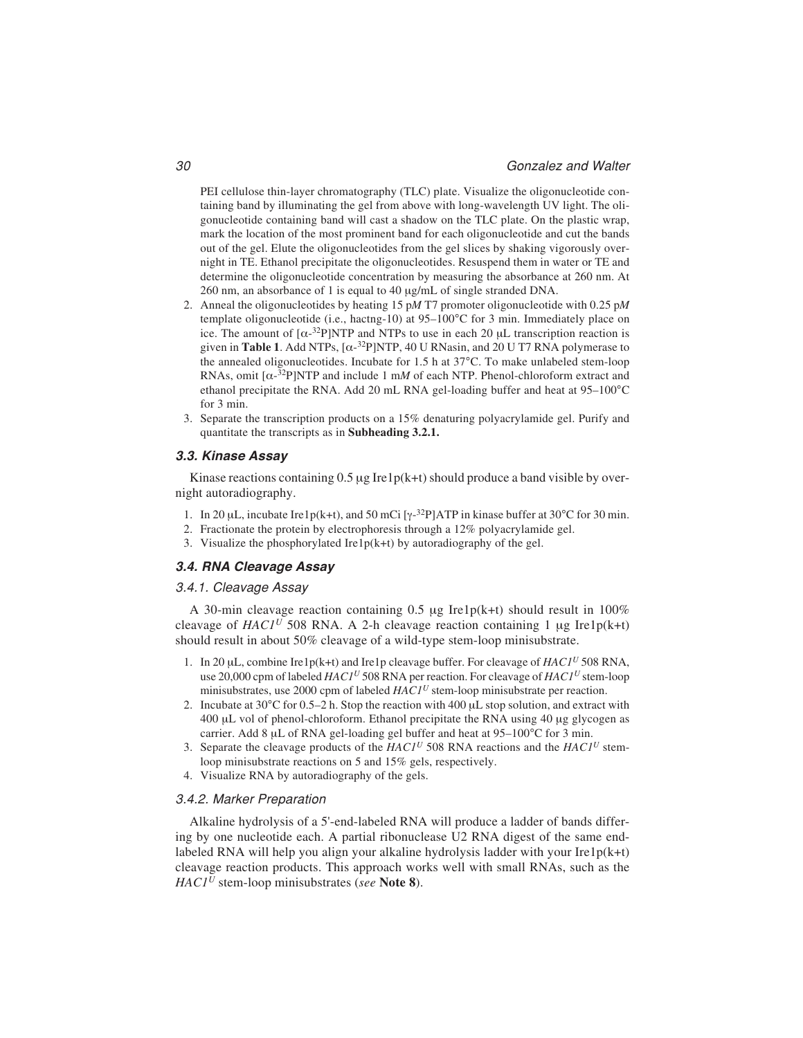PEI cellulose thin-layer chromatography (TLC) plate. Visualize the oligonucleotide containing band by illuminating the gel from above with long-wavelength UV light. The oligonucleotide containing band will cast a shadow on the TLC plate. On the plastic wrap, mark the location of the most prominent band for each oligonucleotide and cut the bands out of the gel. Elute the oligonucleotides from the gel slices by shaking vigorously overnight in TE. Ethanol precipitate the oligonucleotides. Resuspend them in water or TE and determine the oligonucleotide concentration by measuring the absorbance at 260 nm. At 260 nm, an absorbance of 1 is equal to 40 μg/mL of single stranded DNA.

- 2. Anneal the oligonucleotides by heating 15 p*M* T7 promoter oligonucleotide with 0.25 p*M* template oligonucleotide (i.e., hactng-10) at 95–100°C for 3 min. Immediately place on ice. The amount of  $[\alpha^{-32}P]NTP$  and NTPs to use in each 20  $\mu$ L transcription reaction is given in **Table 1**. Add NTPs,  $[\alpha^{-32}P]NTP$ , 40 U RNasin, and 20 U T7 RNA polymerase to the annealed oligonucleotides. Incubate for 1.5 h at 37°C. To make unlabeled stem-loop RNAs, omit  $[\alpha^{-32}P]NTP$  and include 1 mM of each NTP. Phenol-chloroform extract and ethanol precipitate the RNA. Add 20 mL RNA gel-loading buffer and heat at 95–100°C for 3 min.
- 3. Separate the transcription products on a 15% denaturing polyacrylamide gel. Purify and quantitate the transcripts as in **Subheading 3.2.1.**

### **3.3. Kinase Assay**

Kinase reactions containing  $0.5 \mu g$  Ire1p(k+t) should produce a band visible by overnight autoradiography.

- 1. In 20 µL, incubate Ire1p(k+t), and 50 mCi [ $\gamma$ -<sup>32</sup>P]ATP in kinase buffer at 30°C for 30 min.
- 2. Fractionate the protein by electrophoresis through a 12% polyacrylamide gel.
- 3. Visualize the phosphorylated Ire1 $p(k+t)$  by autoradiography of the gel.

## **3.4. RNA Cleavage Assay**

#### 3.4.1. Cleavage Assay

A 30-min cleavage reaction containing 0.5 μg Ire1p(k+t) should result in 100% cleavage of  $HACI<sup>U</sup>$  508 RNA. A 2-h cleavage reaction containing 1  $\mu$ g Ire1p(k+t) should result in about 50% cleavage of a wild-type stem-loop minisubstrate.

- 1. In 20 μL, combine Ire1p(k+t) and Ire1p cleavage buffer. For cleavage of *HAC1<sup>U</sup>* 508 RNA, use 20,000 cpm of labeled *HAC1U* 508 RNA per reaction. For cleavage of *HAC1<sup>U</sup>* stem-loop minisubstrates, use 2000 cpm of labeled *HAC1<sup>U</sup>* stem-loop minisubstrate per reaction.
- 2. Incubate at  $30^{\circ}$ C for 0.5–2 h. Stop the reaction with 400  $\mu$ L stop solution, and extract with 400 μL vol of phenol-chloroform. Ethanol precipitate the RNA using 40 μg glycogen as carrier. Add 8 μL of RNA gel-loading gel buffer and heat at 95–100°C for 3 min.
- 3. Separate the cleavage products of the *HAC1<sup>U</sup>* 508 RNA reactions and the *HAC1<sup>U</sup>* stemloop minisubstrate reactions on 5 and 15% gels, respectively.
- 4. Visualize RNA by autoradiography of the gels.

### 3.4.2. Marker Preparation

Alkaline hydrolysis of a 5'-end-labeled RNA will produce a ladder of bands differing by one nucleotide each. A partial ribonuclease U2 RNA digest of the same endlabeled RNA will help you align your alkaline hydrolysis ladder with your Ire1 $p(k+t)$ cleavage reaction products. This approach works well with small RNAs, such as the *HAC1<sup>U</sup>* stem-loop minisubstrates (*see* **Note 8**).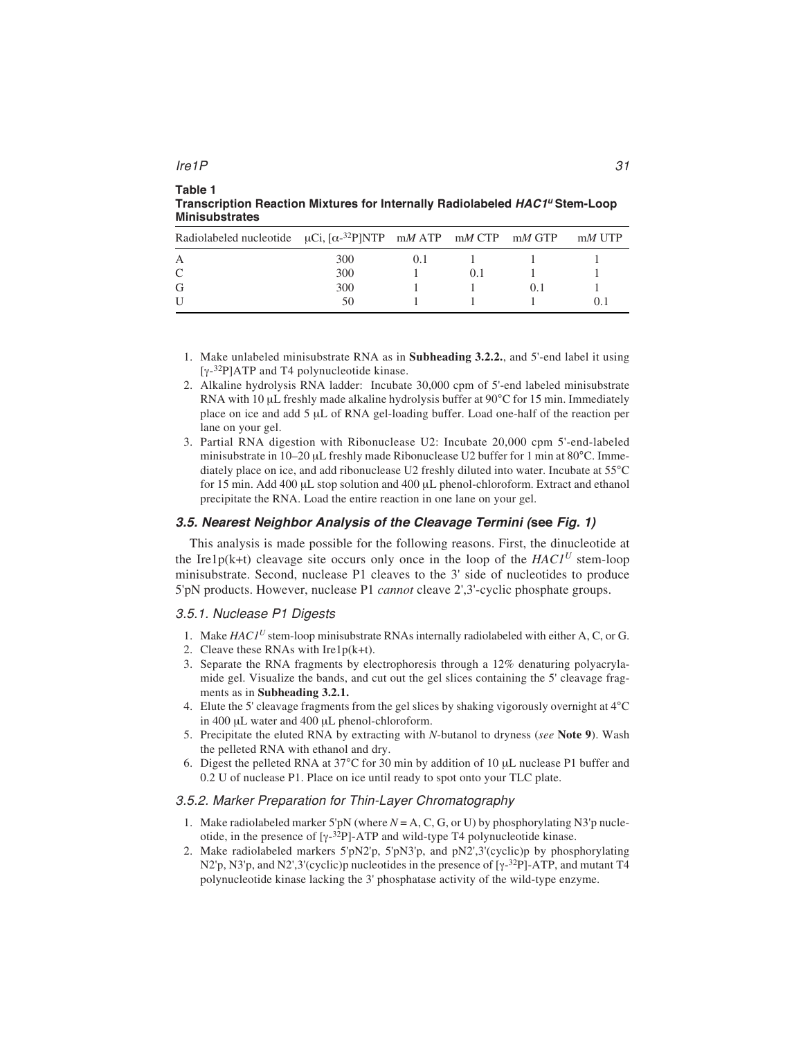| Radiolabeled nucleotide $\mu$ Ci, [ $\alpha^{-32}$ P]NTP m <i>M</i> ATP m <i>M</i> CTP m <i>M</i> GTP |     |    |  | $mM$ UTP |
|-------------------------------------------------------------------------------------------------------|-----|----|--|----------|
| $\mathsf{A}$                                                                                          | 300 | () |  |          |
| $\mathcal{C}$                                                                                         | 300 |    |  |          |
| G                                                                                                     | 300 |    |  |          |
| U                                                                                                     | 50  |    |  |          |

**Table 1 Transcription Reaction Mixtures for Internally Radiolabeled HAC1<sup>u</sup> Stem-Loop Minisubstrates**

- 1. Make unlabeled minisubstrate RNA as in **Subheading 3.2.2.**, and 5'-end label it using  $[\gamma$ -<sup>32</sup>P]ATP and T4 polynucleotide kinase.
- 2. Alkaline hydrolysis RNA ladder: Incubate 30,000 cpm of 5'-end labeled minisubstrate RNA with 10 μL freshly made alkaline hydrolysis buffer at 90°C for 15 min. Immediately place on ice and add 5 μL of RNA gel-loading buffer. Load one-half of the reaction per lane on your gel.
- 3. Partial RNA digestion with Ribonuclease U2: Incubate 20,000 cpm 5'-end-labeled minisubstrate in 10–20 μL freshly made Ribonuclease U2 buffer for 1 min at 80°C. Immediately place on ice, and add ribonuclease U2 freshly diluted into water. Incubate at 55°C for 15 min. Add 400 μL stop solution and 400 μL phenol-chloroform. Extract and ethanol precipitate the RNA. Load the entire reaction in one lane on your gel.

## **3.5. Nearest Neighbor Analysis of the Cleavage Termini (see Fig. 1)**

This analysis is made possible for the following reasons. First, the dinucleotide at the Ire1p(k+t) cleavage site occurs only once in the loop of the  $HACI<sup>U</sup>$  stem-loop minisubstrate. Second, nuclease P1 cleaves to the 3' side of nucleotides to produce 5'pN products. However, nuclease P1 *cannot* cleave 2',3'-cyclic phosphate groups.

### 3.5.1. Nuclease P1 Digests

- 1. Make *HAC1U* stem-loop minisubstrate RNAs internally radiolabeled with either A, C, or G.
- 2. Cleave these RNAs with Ire1p(k+t).
- 3. Separate the RNA fragments by electrophoresis through a 12% denaturing polyacrylamide gel. Visualize the bands, and cut out the gel slices containing the 5' cleavage fragments as in **Subheading 3.2.1.**
- 4. Elute the 5' cleavage fragments from the gel slices by shaking vigorously overnight at 4°C in 400 μL water and 400 μL phenol-chloroform.
- 5. Precipitate the eluted RNA by extracting with *N*-butanol to dryness (*see* **Note 9**). Wash the pelleted RNA with ethanol and dry.
- 6. Digest the pelleted RNA at 37°C for 30 min by addition of 10 μL nuclease P1 buffer and 0.2 U of nuclease P1. Place on ice until ready to spot onto your TLC plate.

## 3.5.2. Marker Preparation for Thin-Layer Chromatography

- 1. Make radiolabeled marker 5'pN (where  $N = A$ , C, G, or U) by phosphorylating N3'p nucleotide, in the presence of  $[\gamma^{-32}P]$ -ATP and wild-type T4 polynucleotide kinase.
- 2. Make radiolabeled markers 5'pN2'p, 5'pN3'p, and pN2',3'(cyclic)p by phosphorylating N2'p, N3'p, and N2',3'(cyclic)p nucleotides in the presence of  $[y^{-3}P]$ -ATP, and mutant T4 polynucleotide kinase lacking the 3' phosphatase activity of the wild-type enzyme.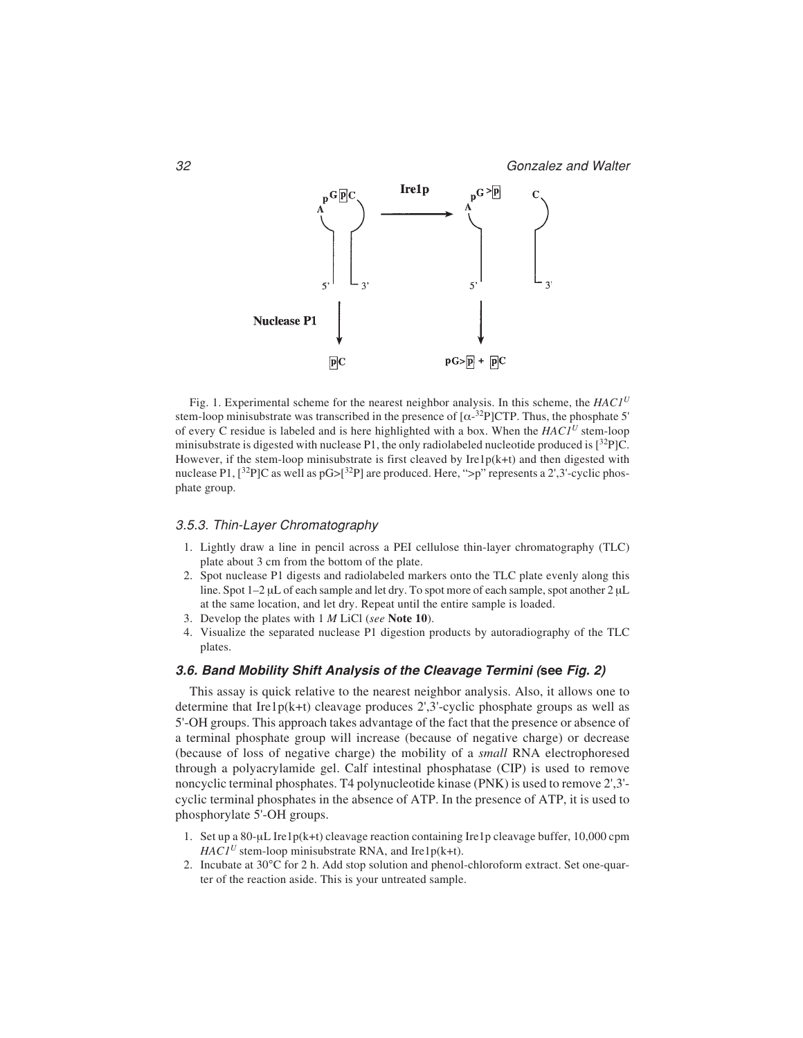

Fig. 1. Experimental scheme for the nearest neighbor analysis. In this scheme, the *HAC1<sup>U</sup>* stem-loop minisubstrate was transcribed in the presence of  $[\alpha^{-32}P]CTP$ . Thus, the phosphate 5 of every C residue is labeled and is here highlighted with a box. When the *HAC1<sup>U</sup>* stem-loop minisubstrate is digested with nuclease P1, the only radiolabeled nucleotide produced is  $[^{32}P]C$ . However, if the stem-loop minisubstrate is first cleaved by  $Irelp(k+t)$  and then digested with nuclease P1,  $[3^{2}P]C$  as well as  $pG>[3^{2}P]$  are produced. Here, ">p" represents a 2',3'-cyclic phosphate group.

#### 3.5.3. Thin-Layer Chromatography

- 1. Lightly draw a line in pencil across a PEI cellulose thin-layer chromatography (TLC) plate about 3 cm from the bottom of the plate.
- 2. Spot nuclease P1 digests and radiolabeled markers onto the TLC plate evenly along this line. Spot 1–2 μL of each sample and let dry. To spot more of each sample, spot another 2 μL at the same location, and let dry. Repeat until the entire sample is loaded.
- 3. Develop the plates with 1 *M* LiCl (*see* **Note 10**).
- 4. Visualize the separated nuclease P1 digestion products by autoradiography of the TLC plates.

## **3.6. Band Mobility Shift Analysis of the Cleavage Termini (see Fig. 2)**

This assay is quick relative to the nearest neighbor analysis. Also, it allows one to determine that Ire1p(k+t) cleavage produces 2',3'-cyclic phosphate groups as well as 5'-OH groups. This approach takes advantage of the fact that the presence or absence of a terminal phosphate group will increase (because of negative charge) or decrease (because of loss of negative charge) the mobility of a *small* RNA electrophoresed through a polyacrylamide gel. Calf intestinal phosphatase (CIP) is used to remove noncyclic terminal phosphates. T4 polynucleotide kinase (PNK) is used to remove 2',3' cyclic terminal phosphates in the absence of ATP. In the presence of ATP, it is used to phosphorylate 5'-OH groups.

- 1. Set up a 80-μL Ire1p(k+t) cleavage reaction containing Ire1p cleavage buffer, 10,000 cpm  $HAC1<sup>U</sup>$  stem-loop minisubstrate RNA, and Ire1p(k+t).
- 2. Incubate at 30°C for 2 h. Add stop solution and phenol-chloroform extract. Set one-quarter of the reaction aside. This is your untreated sample.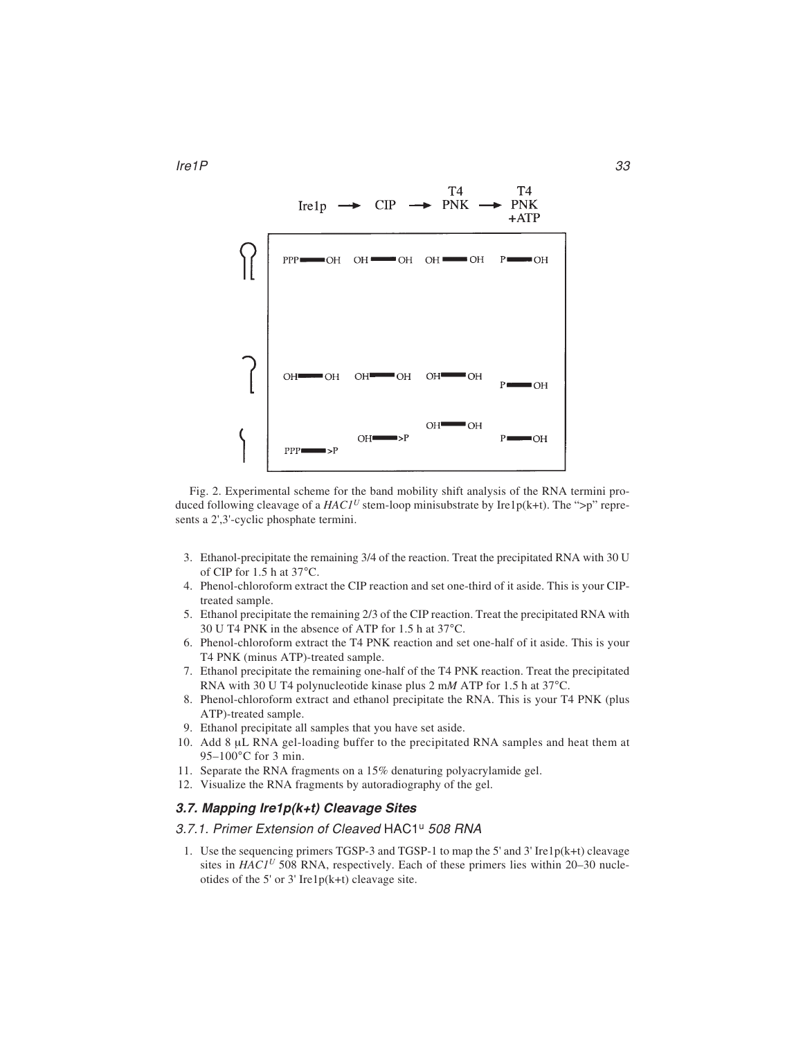

Fig. 2. Experimental scheme for the band mobility shift analysis of the RNA termini produced following cleavage of a  $HACI<sup>U</sup>$  stem-loop minisubstrate by Ire1p(k+t). The ">p" represents a 2',3'-cyclic phosphate termini.

- 3. Ethanol-precipitate the remaining 3/4 of the reaction. Treat the precipitated RNA with 30 U of CIP for 1.5 h at 37°C.
- 4. Phenol-chloroform extract the CIP reaction and set one-third of it aside. This is your CIPtreated sample.
- 5. Ethanol precipitate the remaining 2/3 of the CIP reaction. Treat the precipitated RNA with 30 U T4 PNK in the absence of ATP for 1.5 h at 37°C.
- 6. Phenol-chloroform extract the T4 PNK reaction and set one-half of it aside. This is your T4 PNK (minus ATP)-treated sample.
- 7. Ethanol precipitate the remaining one-half of the T4 PNK reaction. Treat the precipitated RNA with 30 U T4 polynucleotide kinase plus 2 m*M* ATP for 1.5 h at 37°C.
- 8. Phenol-chloroform extract and ethanol precipitate the RNA. This is your T4 PNK (plus ATP)-treated sample.
- 9. Ethanol precipitate all samples that you have set aside.
- 10. Add 8 μL RNA gel-loading buffer to the precipitated RNA samples and heat them at 95–100°C for 3 min.
- 11. Separate the RNA fragments on a 15% denaturing polyacrylamide gel.
- 12. Visualize the RNA fragments by autoradiography of the gel.

## **3.7. Mapping Ire1p(k+t) Cleavage Sites**

#### 3.7.1. Primer Extension of Cleaved HAC1<sup>u</sup> 508 RNA

1. Use the sequencing primers TGSP-3 and TGSP-1 to map the 5' and 3' Ire1p(k+t) cleavage sites in  $HACI<sup>U</sup>$  508 RNA, respectively. Each of these primers lies within 20–30 nucleotides of the 5' or 3' Ire1 $p(k+1)$  cleavage site.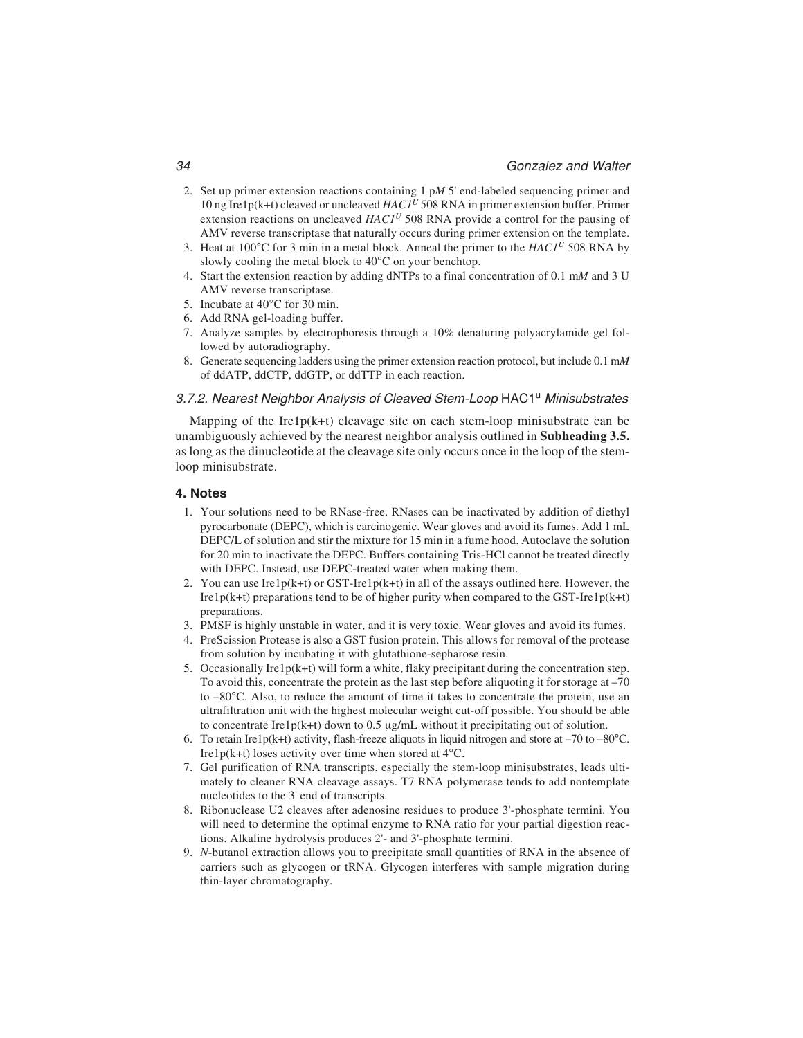- 2. Set up primer extension reactions containing 1 p*M* 5' end-labeled sequencing primer and 10 ng Ire1p(k+t) cleaved or uncleaved *HAC1<sup>U</sup>* 508 RNA in primer extension buffer. Primer extension reactions on uncleaved  $HACI<sup>U</sup>$  508 RNA provide a control for the pausing of AMV reverse transcriptase that naturally occurs during primer extension on the template.
- 3. Heat at 100°C for 3 min in a metal block. Anneal the primer to the *HAC1<sup>U</sup>* 508 RNA by slowly cooling the metal block to 40°C on your benchtop.
- 4. Start the extension reaction by adding dNTPs to a final concentration of 0.1 m*M* and 3 U AMV reverse transcriptase.
- 5. Incubate at 40°C for 30 min.
- 6. Add RNA gel-loading buffer.
- 7. Analyze samples by electrophoresis through a 10% denaturing polyacrylamide gel followed by autoradiography.
- 8. Generate sequencing ladders using the primer extension reaction protocol, but include 0.1 m*M* of ddATP, ddCTP, ddGTP, or ddTTP in each reaction.

## 3.7.2. Nearest Neighbor Analysis of Cleaved Stem-Loop HAC1<sup>u</sup> Minisubstrates

Mapping of the Ire $1p(k+t)$  cleavage site on each stem-loop minisubstrate can be unambiguously achieved by the nearest neighbor analysis outlined in **Subheading 3.5.** as long as the dinucleotide at the cleavage site only occurs once in the loop of the stemloop minisubstrate.

### **4. Notes**

- 1. Your solutions need to be RNase-free. RNases can be inactivated by addition of diethyl pyrocarbonate (DEPC), which is carcinogenic. Wear gloves and avoid its fumes. Add 1 mL DEPC/L of solution and stir the mixture for 15 min in a fume hood. Autoclave the solution for 20 min to inactivate the DEPC. Buffers containing Tris-HCl cannot be treated directly with DEPC. Instead, use DEPC-treated water when making them.
- 2. You can use Ire1p(k+t) or GST-Ire1p(k+t) in all of the assays outlined here. However, the Ire1p(k+t) preparations tend to be of higher purity when compared to the GST-Ire1p(k+t) preparations.
- 3. PMSF is highly unstable in water, and it is very toxic. Wear gloves and avoid its fumes.
- 4. PreScission Protease is also a GST fusion protein. This allows for removal of the protease from solution by incubating it with glutathione-sepharose resin.
- 5. Occasionally Ire1 $p(k+t)$  will form a white, flaky precipitant during the concentration step. To avoid this, concentrate the protein as the last step before aliquoting it for storage at –70 to –80°C. Also, to reduce the amount of time it takes to concentrate the protein, use an ultrafiltration unit with the highest molecular weight cut-off possible. You should be able to concentrate Ire1p(k+t) down to 0.5 μg/mL without it precipitating out of solution.
- 6. To retain Ire1p(k+t) activity, flash-freeze aliquots in liquid nitrogen and store at  $-70$  to  $-80^{\circ}$ C. Ire1p(k+t) loses activity over time when stored at  $4^{\circ}$ C.
- 7. Gel purification of RNA transcripts, especially the stem-loop minisubstrates, leads ultimately to cleaner RNA cleavage assays. T7 RNA polymerase tends to add nontemplate nucleotides to the 3' end of transcripts.
- 8. Ribonuclease U2 cleaves after adenosine residues to produce 3'-phosphate termini. You will need to determine the optimal enzyme to RNA ratio for your partial digestion reactions. Alkaline hydrolysis produces 2'- and 3'-phosphate termini.
- 9. *N*-butanol extraction allows you to precipitate small quantities of RNA in the absence of carriers such as glycogen or tRNA. Glycogen interferes with sample migration during thin-layer chromatography.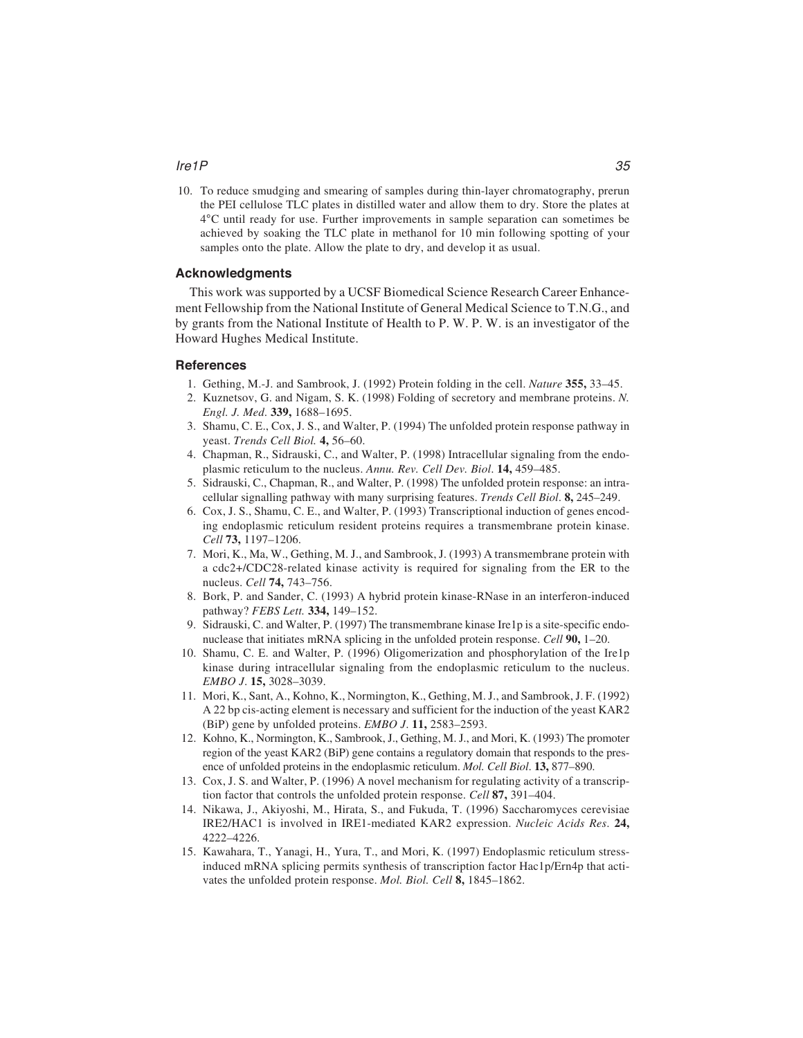#### Ire1P 35

10. To reduce smudging and smearing of samples during thin-layer chromatography, prerun the PEI cellulose TLC plates in distilled water and allow them to dry. Store the plates at 4°C until ready for use. Further improvements in sample separation can sometimes be achieved by soaking the TLC plate in methanol for 10 min following spotting of your samples onto the plate. Allow the plate to dry, and develop it as usual.

### **Acknowledgments**

This work was supported by a UCSF Biomedical Science Research Career Enhancement Fellowship from the National Institute of General Medical Science to T.N.G., and by grants from the National Institute of Health to P. W. P. W. is an investigator of the Howard Hughes Medical Institute.

#### **References**

- 1. Gething, M.-J. and Sambrook, J. (1992) Protein folding in the cell. *Nature* **355,** 33–45.
- 2. Kuznetsov, G. and Nigam, S. K. (1998) Folding of secretory and membrane proteins. *N. Engl. J. Med*. **339,** 1688–1695.
- 3. Shamu, C. E., Cox, J. S., and Walter, P. (1994) The unfolded protein response pathway in yeast. *Trends Cell Biol.* **4,** 56–60.
- 4. Chapman, R., Sidrauski, C., and Walter, P. (1998) Intracellular signaling from the endoplasmic reticulum to the nucleus. *Annu. Rev. Cell Dev. Biol*. **14,** 459–485.
- 5. Sidrauski, C., Chapman, R., and Walter, P. (1998) The unfolded protein response: an intracellular signalling pathway with many surprising features. *Trends Cell Biol*. **8,** 245–249.
- 6. Cox, J. S., Shamu, C. E., and Walter, P. (1993) Transcriptional induction of genes encoding endoplasmic reticulum resident proteins requires a transmembrane protein kinase. *Cell* **73,** 1197–1206.
- 7. Mori, K., Ma, W., Gething, M. J., and Sambrook, J. (1993) A transmembrane protein with a cdc2+/CDC28-related kinase activity is required for signaling from the ER to the nucleus. *Cell* **74,** 743–756.
- 8. Bork, P. and Sander, C. (1993) A hybrid protein kinase-RNase in an interferon-induced pathway? *FEBS Lett.* **334,** 149–152.
- 9. Sidrauski, C. and Walter, P. (1997) The transmembrane kinase Ire1p is a site-specific endonuclease that initiates mRNA splicing in the unfolded protein response. *Cell* **90,** 1–20.
- 10. Shamu, C. E. and Walter, P. (1996) Oligomerization and phosphorylation of the Ire1p kinase during intracellular signaling from the endoplasmic reticulum to the nucleus. *EMBO J*. **15,** 3028–3039.
- 11. Mori, K., Sant, A., Kohno, K., Normington, K., Gething, M. J., and Sambrook, J. F. (1992) A 22 bp cis-acting element is necessary and sufficient for the induction of the yeast KAR2 (BiP) gene by unfolded proteins. *EMBO J*. **11,** 2583–2593.
- 12. Kohno, K., Normington, K., Sambrook, J., Gething, M. J., and Mori, K. (1993) The promoter region of the yeast KAR2 (BiP) gene contains a regulatory domain that responds to the presence of unfolded proteins in the endoplasmic reticulum. *Mol. Cell Biol*. **13,** 877–890.
- 13. Cox, J. S. and Walter, P. (1996) A novel mechanism for regulating activity of a transcription factor that controls the unfolded protein response. *Cell* **87,** 391–404.
- 14. Nikawa, J., Akiyoshi, M., Hirata, S., and Fukuda, T. (1996) Saccharomyces cerevisiae IRE2/HAC1 is involved in IRE1-mediated KAR2 expression. *Nucleic Acids Res*. **24,** 4222–4226.
- 15. Kawahara, T., Yanagi, H., Yura, T., and Mori, K. (1997) Endoplasmic reticulum stressinduced mRNA splicing permits synthesis of transcription factor Hac1p/Ern4p that activates the unfolded protein response. *Mol. Biol. Cell* **8,** 1845–1862.